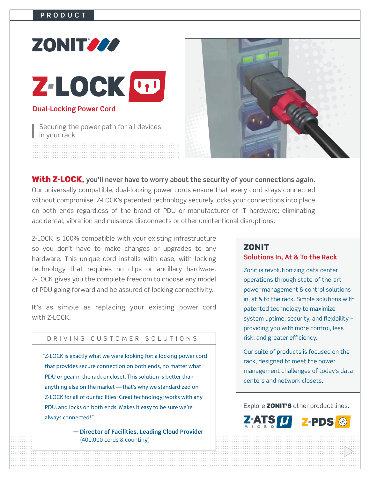# **ZONITING** Z-LOCK UP **Dual-Locking Power Cord**

Securing the power path for all devices in your rack



**With Z-LOCK,** you'll never have to worry about the security of your connections again. Our universally compatible, dual-locking power cords ensure that every cord stays connected without compromise. Z-LOCK's patented technology securely locks your connections into place on both ends regardless of the brand of PDU or manufacturer of IT hardware; eliminating accidental, vibration and nuisance disconnects or other unintentional disruptions.

Z-LOCK is 100% compatible with your existing infrastructure so you don't have to make changes or upgrades to any hardware. This unique cord installs with ease, with locking technology that requires no clips or ancillary hardware. Z-LOCK gives you the complete freedom to choose any model of PDU going forward and be assured of locking connectivity.

It's as simple as replacing your existing power cord with 7-I OCK

#### DRIVING CUSTOMER SOLUTIONS

"Z-LOCK is exactly what we were looking for: a locking power cord that provides secure connection on both ends, no matter what PDU or gear in the rack or closet. This solution is better than anything else on the market - that's why we standardized on Z-LOCK for all of our facilities. Great technology; works with any PDU, and locks on both ends. Makes it easy to be sure we're always connected!"

> - Director of Facilities, Leading Cloud Provider  $(400,000 \text{ cords } 8 \text{ counting})$

#### **ZONIT**

#### Solutions In, At & To the Rack

Zonit is revolutionizing data center operations through state-of-the-art power management & control solutions in, at & to the rack. Simple solutions with patented technology to maximize system uptime, security, and flexibility providing you with more control, less risk, and greater efficiency.

Our suite of products is focused on the rack, designed to meet the power management challenges of today's data centers and network closets.

Explore **ZONIT'S** other product lines: